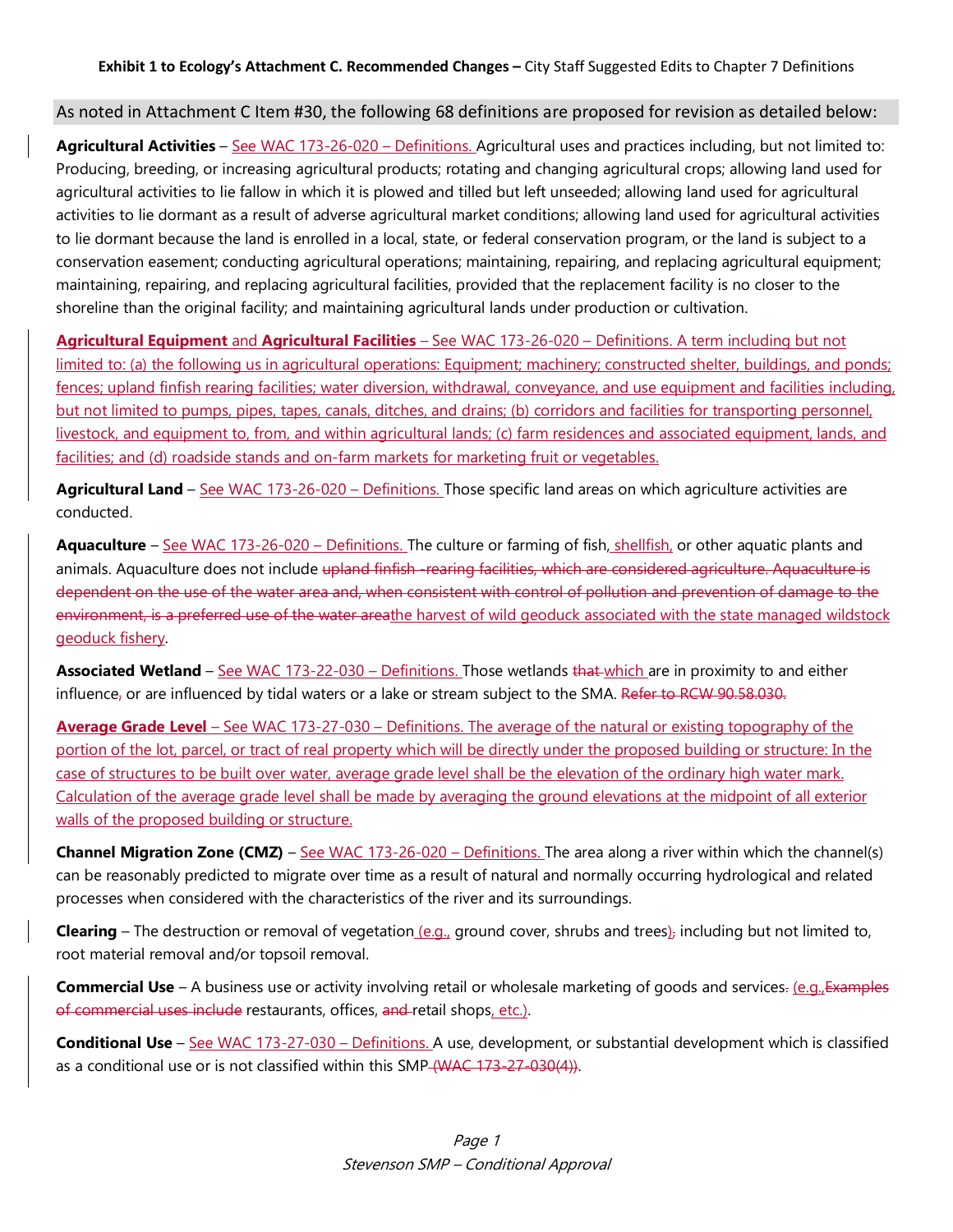## As noted in Attachment C Item #30, the following 68 definitions are proposed for revision as detailed below:

Agricultural Activities - See WAC 173-26-020 - Definitions. Agricultural uses and practices including, but not limited to: Producing, breeding, or increasing agricultural products; rotating and changing agricultural crops; allowing land used for agricultural activities to lie fallow in which it is plowed and tilled but left unseeded; allowing land used for agricultural activities to lie dormant as a result of adverse agricultural market conditions; allowing land used for agricultural activities to lie dormant because the land is enrolled in a local, state, or federal conservation program, or the land is subject to a conservation easement; conducting agricultural operations; maintaining, repairing, and replacing agricultural equipment; maintaining, repairing, and replacing agricultural facilities, provided that the replacement facility is no closer to the shoreline than the original facility; and maintaining agricultural lands under production or cultivation.

**Agricultural Equipment** and **Agricultural Facilities** – See WAC 173-26-020 – Definitions. A term including but not limited to: (a) the following us in agricultural operations: Equipment; machinery; constructed shelter, buildings, and ponds; fences; upland finfish rearing facilities; water diversion, withdrawal, conveyance, and use equipment and facilities including, but not limited to pumps, pipes, tapes, canals, ditches, and drains; (b) corridors and facilities for transporting personnel, livestock, and equipment to, from, and within agricultural lands; (c) farm residences and associated equipment, lands, and facilities; and (d) roadside stands and on-farm markets for marketing fruit or vegetables.

**Agricultural Land** – See WAC 173-26-020 – Definitions. Those specific land areas on which agriculture activities are conducted.

**Aquaculture** – See WAC 173-26-020 – Definitions. The culture or farming of fish, shellfish, or other aquatic plants and animals. Aquaculture does not include upland finfish -rearing facilities, which are considered agriculture. Aquaculture is dependent on the use of the water area and, when consistent with control of pollution and prevention of damage to the environment, is a preferred use of the water areathe harvest of wild geoduck associated with the state managed wildstock geoduck fishery.

**Associated Wetland** – See WAC 173-22-030 – Definitions. Those wetlands that which are in proximity to and either influence, or are influenced by tidal waters or a lake or stream subject to the SMA. Refer to RCW 90.58.030.

**Average Grade Level** – See WAC 173-27-030 – Definitions. The average of the natural or existing topography of the portion of the lot, parcel, or tract of real property which will be directly under the proposed building or structure: In the case of structures to be built over water, average grade level shall be the elevation of the ordinary high water mark. Calculation of the average grade level shall be made by averaging the ground elevations at the midpoint of all exterior walls of the proposed building or structure.

**Channel Migration Zone (CMZ)** – See WAC 173-26-020 – Definitions. The area along a river within which the channel(s) can be reasonably predicted to migrate over time as a result of natural and normally occurring hydrological and related processes when considered with the characteristics of the river and its surroundings.

**Clearing** – The destruction or removal of vegetation (e.g., ground cover, shrubs and trees), including but not limited to, root material removal and/or topsoil removal.

**Commercial Use** – A business use or activity involving retail or wholesale marketing of goods and services. (e.g., Examples of commercial uses include restaurants, offices, and retail shops, etc.).

**Conditional Use** – See WAC 173-27-030 – Definitions. A use, development, or substantial development which is classified as a conditional use or is not classified within this SMP (WAC 173-27-030(4)).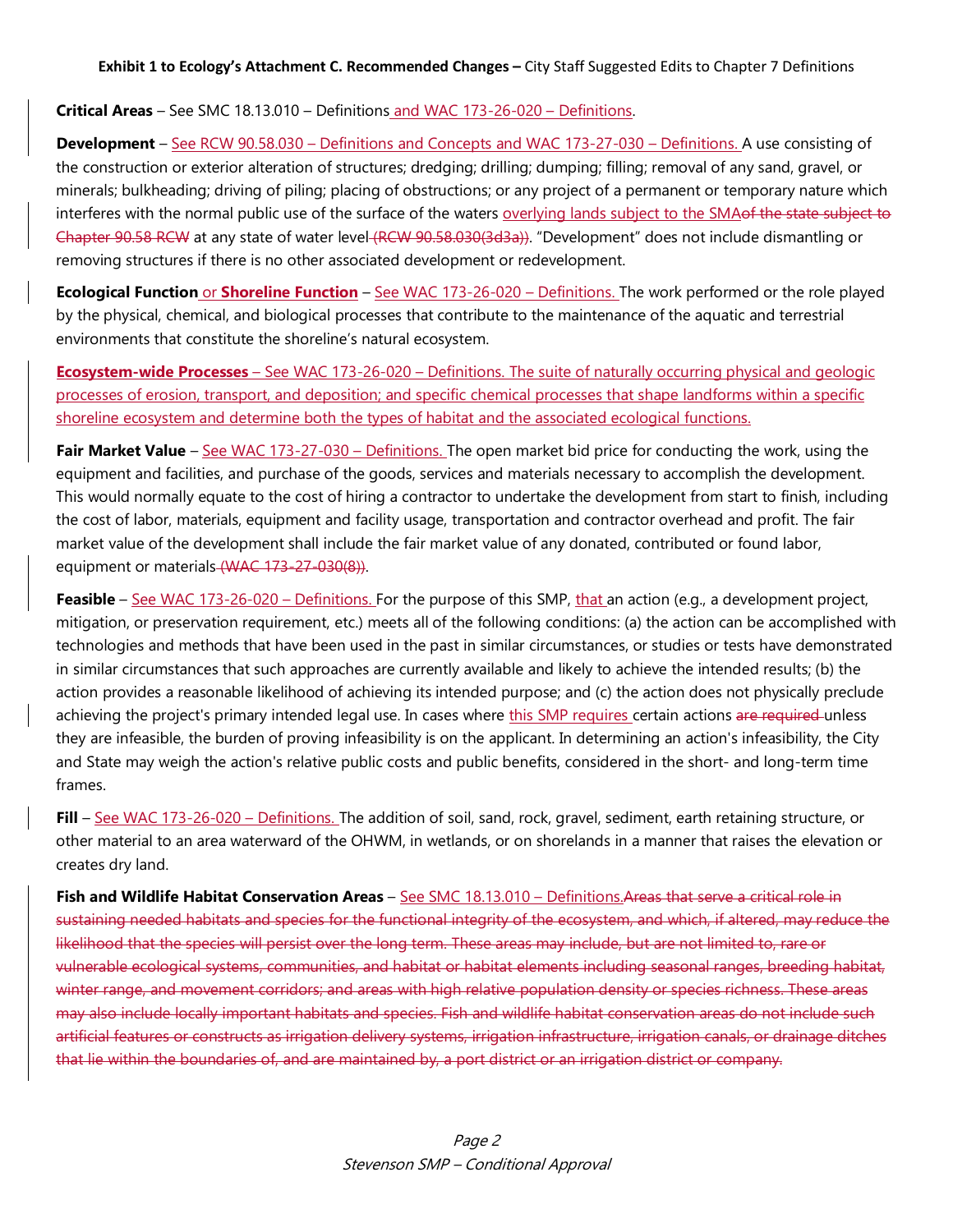## **Critical Areas** – See SMC 18.13.010 – Definitions and WAC 173-26-020 – Definitions.

**Development** – See RCW 90.58.030 – Definitions and Concepts and WAC 173-27-030 – Definitions. A use consisting of the construction or exterior alteration of structures; dredging; drilling; dumping; filling; removal of any sand, gravel, or minerals; bulkheading; driving of piling; placing of obstructions; or any project of a permanent or temporary nature which interferes with the normal public use of the surface of the waters overlying lands subject to the SMA of the state subject to Chapter 90.58 RCW at any state of water level (RCW 90.58.030(3d3a)). "Development" does not include dismantling or removing structures if there is no other associated development or redevelopment.

**Ecological Function** or **Shoreline Function** – See WAC 173-26-020 – Definitions. The work performed or the role played by the physical, chemical, and biological processes that contribute to the maintenance of the aquatic and terrestrial environments that constitute the shoreline's natural ecosystem.

**Ecosystem-wide Processes** – See WAC 173-26-020 – Definitions. The suite of naturally occurring physical and geologic processes of erosion, transport, and deposition; and specific chemical processes that shape landforms within a specific shoreline ecosystem and determine both the types of habitat and the associated ecological functions.

**Fair Market Value** – See WAC 173-27-030 – Definitions. The open market bid price for conducting the work, using the equipment and facilities, and purchase of the goods, services and materials necessary to accomplish the development. This would normally equate to the cost of hiring a contractor to undertake the development from start to finish, including the cost of labor, materials, equipment and facility usage, transportation and contractor overhead and profit. The fair market value of the development shall include the fair market value of any donated, contributed or found labor, equipment or materials (WAC 173-27-030(8)).

**Feasible** – See WAC 173-26-020 – Definitions. For the purpose of this SMP, that an action (e.g., a development project, mitigation, or preservation requirement, etc.) meets all of the following conditions: (a) the action can be accomplished with technologies and methods that have been used in the past in similar circumstances, or studies or tests have demonstrated in similar circumstances that such approaches are currently available and likely to achieve the intended results; (b) the action provides a reasonable likelihood of achieving its intended purpose; and (c) the action does not physically preclude achieving the project's primary intended legal use. In cases where this SMP requires certain actions are required unless they are infeasible, the burden of proving infeasibility is on the applicant. In determining an action's infeasibility, the City and State may weigh the action's relative public costs and public benefits, considered in the short- and long-term time frames.

**Fill** – See WAC 173-26-020 – Definitions. The addition of soil, sand, rock, gravel, sediment, earth retaining structure, or other material to an area waterward of the OHWM, in wetlands, or on shorelands in a manner that raises the elevation or creates dry land.

**Fish and Wildlife Habitat Conservation Areas** – See SMC 18.13.010 – Definitions.Areas that serve a critical role in sustaining needed habitats and species for the functional integrity of the ecosystem, and which, if altered, may reduce the likelihood that the species will persist over the long term. These areas may include, but are not limited to, rare or vulnerable ecological systems, communities, and habitat or habitat elements including seasonal ranges, breeding habitat, winter range, and movement corridors; and areas with high relative population density or species richness. These areas may also include locally important habitats and species. Fish and wildlife habitat conservation areas do not include such artificial features or constructs as irrigation delivery systems, irrigation infrastructure, irrigation canals, or drainage ditches that lie within the boundaries of, and are maintained by, a port district or an irrigation district or company.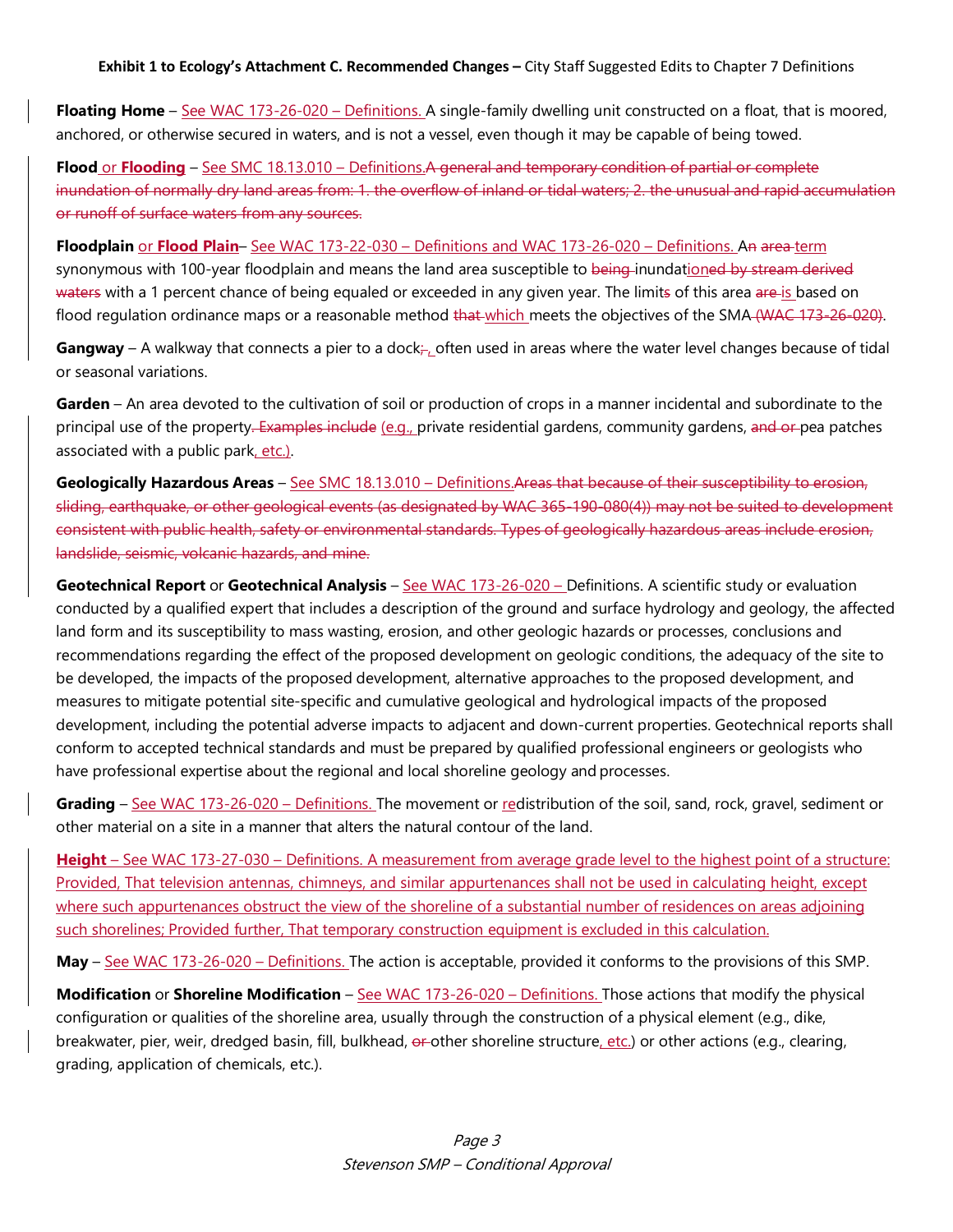**Exhibit 1 to Ecology's Attachment C. Recommended Changes –** City Staff Suggested Edits to Chapter 7 Definitions

**Floating Home** – See WAC 173-26-020 – Definitions. A single-family dwelling unit constructed on a float, that is moored, anchored, or otherwise secured in waters, and is not a vessel, even though it may be capable of being towed.

**Flood** or **Flooding** – See SMC 18.13.010 – Definitions. A general and temporary condition of partial or complete inundation of normally dry land areas from: 1. the overflow of inland or tidal waters; 2. the unusual and rapid accumulation or runoff of surface waters from any sources.

**Floodplain** or **Flood Plain**– See WAC 173-22-030 – Definitions and WAC 173-26-020 – Definitions. An area term synonymous with 100-year floodplain and means the land area susceptible to being-inundationed by stream derived waters with a 1 percent chance of being equaled or exceeded in any given year. The limits of this area are is based on flood regulation ordinance maps or a reasonable method that which meets the objectives of the SMA (WAC 173-26-020).

Gangway – A walkway that connects a pier to a dock<sub></sub>, often used in areas where the water level changes because of tidal or seasonal variations.

**Garden** – An area devoted to the cultivation of soil or production of crops in a manner incidental and subordinate to the principal use of the property. Examples include (e.g., private residential gardens, community gardens, and or pea patches associated with a public park, etc.).

**Geologically Hazardous Areas** – See SMC 18.13.010 – Definitions.Areas that because of their susceptibility to erosion, sliding, earthquake, or other geological events (as designated by WAC 365-190-080(4)) may not be suited to development consistent with public health, safety or environmental standards. Types of geologically hazardous areas include erosion, landslide, seismic, volcanic hazards, and mine.

**Geotechnical Report** or **Geotechnical Analysis** – See WAC 173-26-020 – Definitions. A scientific study or evaluation conducted by a qualified expert that includes a description of the ground and surface hydrology and geology, the affected land form and its susceptibility to mass wasting, erosion, and other geologic hazards or processes, conclusions and recommendations regarding the effect of the proposed development on geologic conditions, the adequacy of the site to be developed, the impacts of the proposed development, alternative approaches to the proposed development, and measures to mitigate potential site-specific and cumulative geological and hydrological impacts of the proposed development, including the potential adverse impacts to adjacent and down-current properties. Geotechnical reports shall conform to accepted technical standards and must be prepared by qualified professional engineers or geologists who have professional expertise about the regional and local shoreline geology and processes.

**Grading** – See WAC 173-26-020 – Definitions. The movement or redistribution of the soil, sand, rock, gravel, sediment or other material on a site in a manner that alters the natural contour of the land.

**Height** – See WAC 173-27-030 – Definitions. A measurement from average grade level to the highest point of a structure: Provided, That television antennas, chimneys, and similar appurtenances shall not be used in calculating height, except where such appurtenances obstruct the view of the shoreline of a substantial number of residences on areas adjoining such shorelines; Provided further, That temporary construction equipment is excluded in this calculation.

**May** – See WAC 173-26-020 – Definitions. The action is acceptable, provided it conforms to the provisions of this SMP.

**Modification** or **Shoreline Modification** – See WAC 173-26-020 – Definitions. Those actions that modify the physical configuration or qualities of the shoreline area, usually through the construction of a physical element (e.g., dike, breakwater, pier, weir, dredged basin, fill, bulkhead, er-other shoreline structure, etc.) or other actions (e.g., clearing, grading, application of chemicals, etc.).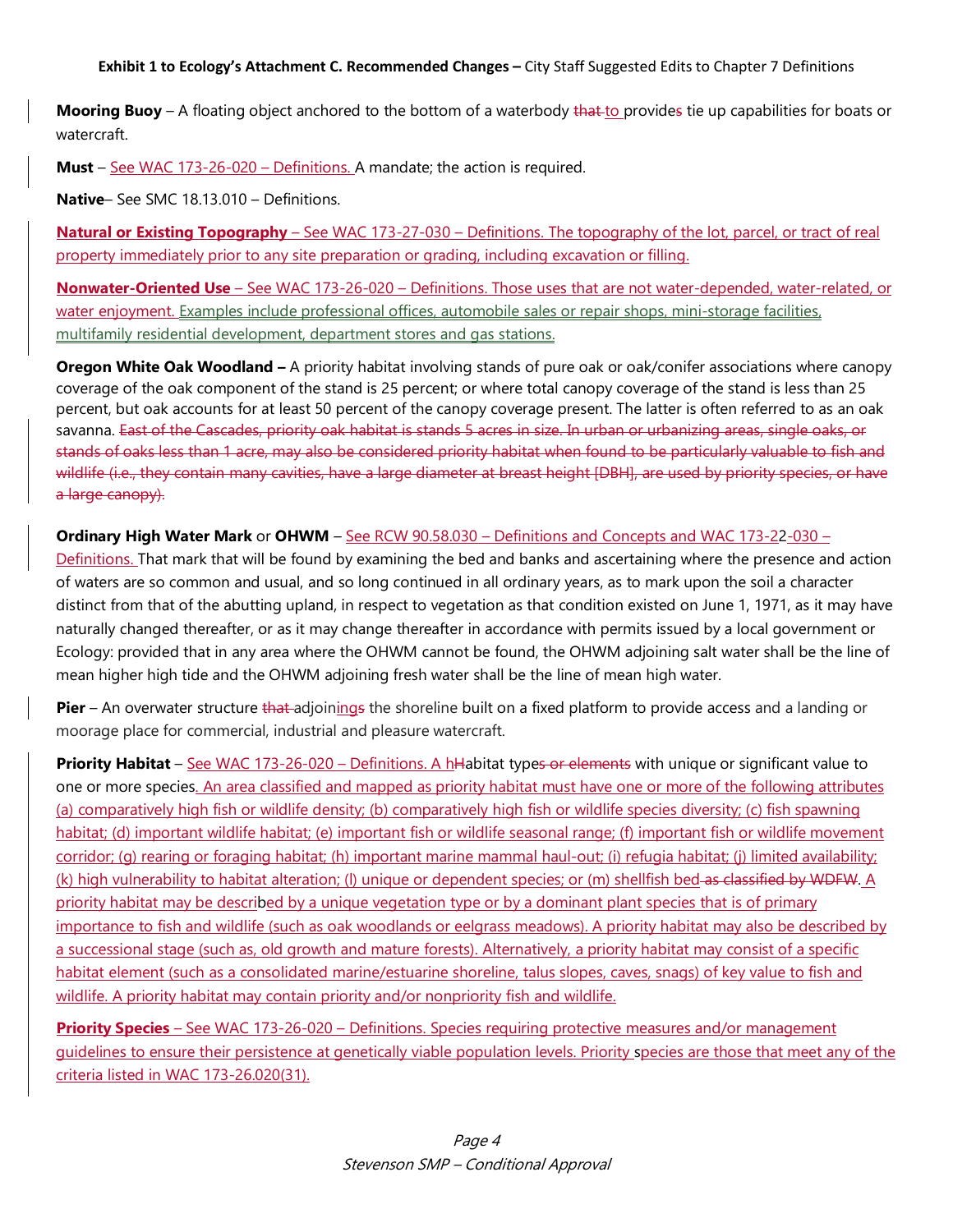**Exhibit 1 to Ecology's Attachment C. Recommended Changes –** City Staff Suggested Edits to Chapter 7 Definitions

**Mooring Buoy** – A floating object anchored to the bottom of a waterbody that to provides tie up capabilities for boats or watercraft.

**Must** – See WAC 173-26-020 – Definitions. A mandate; the action is required.

**Native**– See SMC 18.13.010 – Definitions.

**Natural or Existing Topography** – See WAC 173-27-030 – Definitions. The topography of the lot, parcel, or tract of real property immediately prior to any site preparation or grading, including excavation or filling.

**Nonwater-Oriented Use** – See WAC 173-26-020 – Definitions. Those uses that are not water-depended, water-related, or water enjoyment. Examples include professional offices, automobile sales or repair shops, mini-storage facilities, multifamily residential development, department stores and gas stations.

**Oregon White Oak Woodland –** A priority habitat involving stands of pure oak or oak/conifer associations where canopy coverage of the oak component of the stand is 25 percent; or where total canopy coverage of the stand is less than 25 percent, but oak accounts for at least 50 percent of the canopy coverage present. The latter is often referred to as an oak savanna. East of the Cascades, priority oak habitat is stands 5 acres in size. In urban or urbanizing areas, single oaks, or stands of oaks less than 1 acre, may also be considered priority habitat when found to be particularly valuable to fish and wildlife (i.e., they contain many cavities, have a large diameter at breast height [DBH], are used by priority species, or have a large canopy).

**Ordinary High Water Mark** or **OHWM** – See RCW 90.58.030 – Definitions and Concepts and WAC 173-22-030 –

Definitions. That mark that will be found by examining the bed and banks and ascertaining where the presence and action of waters are so common and usual, and so long continued in all ordinary years, as to mark upon the soil a character distinct from that of the abutting upland, in respect to vegetation as that condition existed on June 1, 1971, as it may have naturally changed thereafter, or as it may change thereafter in accordance with permits issued by a local government or Ecology: provided that in any area where the OHWM cannot be found, the OHWM adjoining salt water shall be the line of mean higher high tide and the OHWM adjoining fresh water shall be the line of mean high water.

**Pier** – An overwater structure that adjoinings the shoreline built on a fixed platform to provide access and a landing or moorage place for commercial, industrial and pleasure watercraft.

**Priority Habitat** – See WAC 173-26-020 – Definitions. A hHabitat types or elements with unique or significant value to one or more species. An area classified and mapped as priority habitat must have one or more of the following attributes (a) comparatively high fish or wildlife density; (b) comparatively high fish or wildlife species diversity; (c) fish spawning habitat; (d) important wildlife habitat; (e) important fish or wildlife seasonal range; (f) important fish or wildlife movement corridor; (g) rearing or foraging habitat; (h) important marine mammal haul-out; (i) refugia habitat; (j) limited availability; (k) high vulnerability to habitat alteration; (I) unique or dependent species; or (m) shellfish bed as classified by WDFW. A priority habitat may be described by a unique vegetation type or by a dominant plant species that is of primary importance to fish and wildlife (such as oak woodlands or eelgrass meadows). A priority habitat may also be described by a successional stage (such as, old growth and mature forests). Alternatively, a priority habitat may consist of a specific habitat element (such as a consolidated marine/estuarine shoreline, talus slopes, caves, snags) of key value to fish and wildlife. A priority habitat may contain priority and/or nonpriority fish and wildlife.

**Priority Species** – See WAC 173-26-020 – Definitions. Species requiring protective measures and/or management guidelines to ensure their persistence at genetically viable population levels. Priority species are those that meet any of the criteria listed in WAC 173-26.020(31).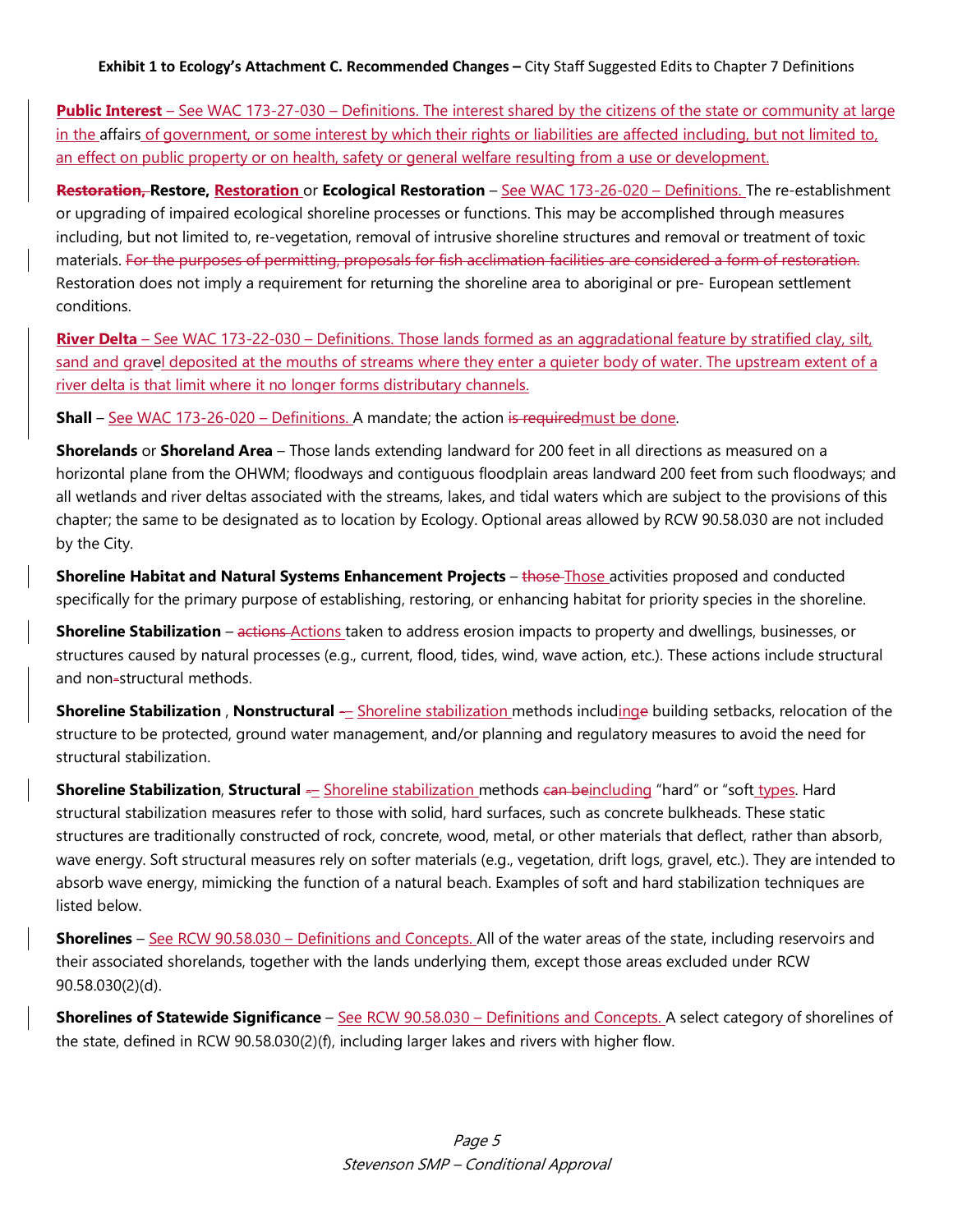## **Exhibit 1 to Ecology's Attachment C. Recommended Changes –** City Staff Suggested Edits to Chapter 7 Definitions

**Public Interest** – See WAC 173-27-030 – Definitions. The interest shared by the citizens of the state or community at large in the affairs of government, or some interest by which their rights or liabilities are affected including, but not limited to, an effect on public property or on health, safety or general welfare resulting from a use or development.

**Restoration, Restore, Restoration** or **Ecological Restoration** – See WAC 173-26-020 – Definitions. The re-establishment or upgrading of impaired ecological shoreline processes or functions. This may be accomplished through measures including, but not limited to, re-vegetation, removal of intrusive shoreline structures and removal or treatment of toxic materials. For the purposes of permitting, proposals for fish acclimation facilities are considered a form of restoration. Restoration does not imply a requirement for returning the shoreline area to aboriginal or pre- European settlement conditions.

**River Delta** – See WAC 173-22-030 – Definitions. Those lands formed as an aggradational feature by stratified clay, silt, sand and gravel deposited at the mouths of streams where they enter a quieter body of water. The upstream extent of a river delta is that limit where it no longer forms distributary channels.

**Shall** – See WAC 173-26-020 – Definitions. A mandate; the action is required must be done.

**Shorelands** or **Shoreland Area** – Those lands extending landward for 200 feet in all directions as measured on a horizontal plane from the OHWM; floodways and contiguous floodplain areas landward 200 feet from such floodways; and all wetlands and river deltas associated with the streams, lakes, and tidal waters which are subject to the provisions of this chapter; the same to be designated as to location by Ecology. Optional areas allowed by RCW 90.58.030 are not included by the City.

**Shoreline Habitat and Natural Systems Enhancement Projects – those Those activities proposed and conducted** specifically for the primary purpose of establishing, restoring, or enhancing habitat for priority species in the shoreline.

**Shoreline Stabilization** – actions Actions taken to address erosion impacts to property and dwellings, businesses, or structures caused by natural processes (e.g., current, flood, tides, wind, wave action, etc.). These actions include structural and non-structural methods.

**Shoreline Stabilization**, **Nonstructural** - Shoreline stabilization methods includinge building setbacks, relocation of the structure to be protected, ground water management, and/or planning and regulatory measures to avoid the need for structural stabilization.

**Shoreline Stabilization, Structural** — Shoreline stabilization methods can beincluding "hard" or "soft types. Hard structural stabilization measures refer to those with solid, hard surfaces, such as concrete bulkheads. These static structures are traditionally constructed of rock, concrete, wood, metal, or other materials that deflect, rather than absorb, wave energy. Soft structural measures rely on softer materials (e.g., vegetation, drift logs, gravel, etc.). They are intended to absorb wave energy, mimicking the function of a natural beach. Examples of soft and hard stabilization techniques are listed below.

**Shorelines** – See RCW 90.58.030 – Definitions and Concepts. All of the water areas of the state, including reservoirs and their associated shorelands, together with the lands underlying them, except those areas excluded under RCW 90.58.030(2)(d).

**Shorelines of Statewide Significance** – See RCW 90.58.030 – Definitions and Concepts. A select category of shorelines of the state, defined in RCW 90.58.030(2)(f), including larger lakes and rivers with higher flow.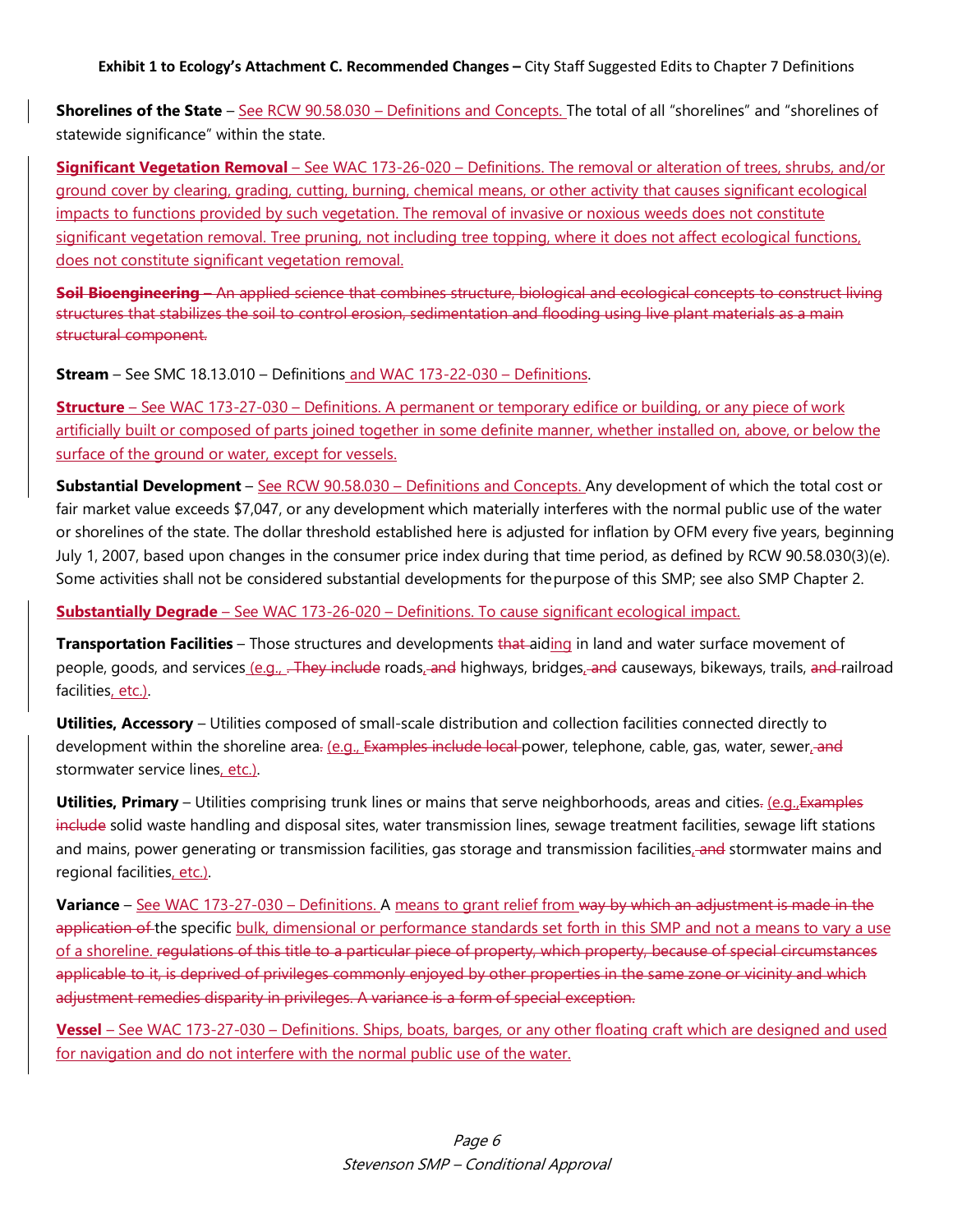**Shorelines of the State** – See RCW 90.58.030 – Definitions and Concepts. The total of all "shorelines" and "shorelines of statewide significance" within the state.

**Significant Vegetation Removal** – See WAC 173-26-020 – Definitions. The removal or alteration of trees, shrubs, and/or ground cover by clearing, grading, cutting, burning, chemical means, or other activity that causes significant ecological impacts to functions provided by such vegetation. The removal of invasive or noxious weeds does not constitute significant vegetation removal. Tree pruning, not including tree topping, where it does not affect ecological functions, does not constitute significant vegetation removal.

**Soil Bioengineering –** An applied science that combines structure, biological and ecological concepts to construct living structures that stabilizes the soil to control erosion, sedimentation and flooding using live plant materials as a main structural component.

**Stream** – See SMC 18.13.010 – Definitions and WAC 173-22-030 – Definitions.

**Structure** – See WAC 173-27-030 – Definitions. A permanent or temporary edifice or building, or any piece of work artificially built or composed of parts joined together in some definite manner, whether installed on, above, or below the surface of the ground or water, except for vessels.

**Substantial Development** – See RCW 90.58.030 – Definitions and Concepts. Any development of which the total cost or fair market value exceeds \$7,047, or any development which materially interferes with the normal public use of the water or shorelines of the state. The dollar threshold established here is adjusted for inflation by OFM every five years, beginning July 1, 2007, based upon changes in the consumer price index during that time period, as defined by RCW 90.58.030(3)(e). Some activities shall not be considered substantial developments for thepurpose of this SMP; see also SMP Chapter 2.

**Substantially Degrade** – See WAC 173-26-020 – Definitions. To cause significant ecological impact.

**Transportation Facilities** – Those structures and developments that aiding in land and water surface movement of people, goods, and services (e.g., .-They include roads, and highways, bridges, and causeways, bikeways, trails, and railroad facilities, etc.).

**Utilities, Accessory** – Utilities composed of small-scale distribution and collection facilities connected directly to development within the shoreline area. (e.g., Examples include local power, telephone, cable, gas, water, sewer, and stormwater service lines, etc.).

**Utilities, Primary** – Utilities comprising trunk lines or mains that serve neighborhoods, areas and cities. (e.g., Examples include solid waste handling and disposal sites, water transmission lines, sewage treatment facilities, sewage lift stations and mains, power generating or transmission facilities, gas storage and transmission facilities, and stormwater mains and regional facilities, etc.).

**Variance** – See WAC 173-27-030 – Definitions. A means to grant relief from way by which an adjustment is made in the application of the specific bulk, dimensional or performance standards set forth in this SMP and not a means to vary a use of a shoreline. regulations of this title to a particular piece of property, which property, because of special circumstances applicable to it, is deprived of privileges commonly enjoyed by other properties in the same zone or vicinity and which adjustment remedies disparity in privileges. A variance is a form of special exception.

**Vessel** – See WAC 173-27-030 – Definitions. Ships, boats, barges, or any other floating craft which are designed and used for navigation and do not interfere with the normal public use of the water.